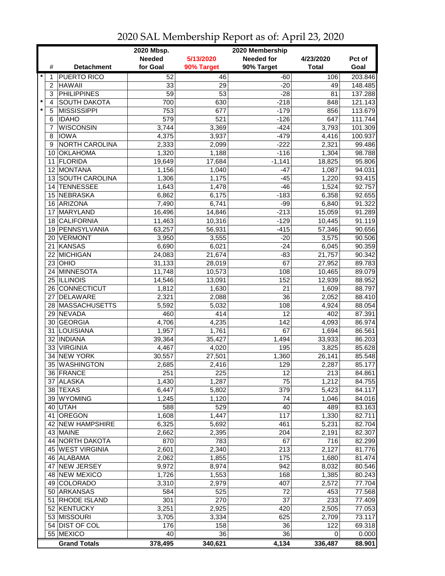|         |                 | 2020 Mbsp.<br>2020 Membership |                 |                  |                   |              |                  |  |  |
|---------|-----------------|-------------------------------|-----------------|------------------|-------------------|--------------|------------------|--|--|
|         |                 |                               | <b>Needed</b>   | 5/13/2020        | <b>Needed for</b> | 4/23/2020    | Pct of           |  |  |
|         | #               | <b>Detachment</b>             | for Goal        | 90% Target       | 90% Target        | <b>Total</b> | Goal             |  |  |
| $\star$ | 1               | <b>PUERTO RICO</b>            | 52              | 46               | $-60$             | 106          | 203.846          |  |  |
|         | $\overline{c}$  | <b>HAWAII</b>                 | 33              | 29               | $-20$             | 49           | 148.485          |  |  |
|         | 3               | <b>PHILIPPINES</b>            | $\overline{59}$ | $\overline{53}$  | $-28$             | 81           | 137.288          |  |  |
| $\star$ | 4               | <b>SOUTH DAKOTA</b>           | 700             | 630              | $-218$            | 848          | 121.143          |  |  |
| $\star$ | 5               | <b>MISSISSIPPI</b>            | 753             | 677              | $-179$            | 856          | 113.679          |  |  |
|         | 6               | <b>IDAHO</b>                  | 579             | $\overline{521}$ | $-126$            | 647          | 111.744          |  |  |
|         | 7               | <b>WISCONSIN</b>              | 3,744           | 3,369            | $-424$            | 3,793        | 101.309          |  |  |
|         | 8               | <b>IOWA</b>                   | 4,375           | 3,937            | $-479$            | 4,416        | 100.937          |  |  |
|         | 9               | NORTH CAROLINA                | 2,333           | 2,099            | $-222$            | 2,321        | 99.486           |  |  |
|         | 10              | <b>OKLAHOMA</b>               | 1,320           | 1,188            | $-116$            | 1,304        | 98.788           |  |  |
|         | 11              | <b>FLORIDA</b>                | 19,649          | 17,684           | $-1,141$          | 18,825       | 95.806           |  |  |
|         | 12 <sup>2</sup> | MONTANA                       | 1,156           | 1,040            | $-47$             | 1,087        | 94.031           |  |  |
|         |                 | 13 SOUTH CAROLINA             | 1,306           | 1,175            | $-45$             | 1,220        | 93.415           |  |  |
|         | 14              | <b>TENNESSEE</b>              | 1,643           | 1,478            | $-46$             | 1,524        | 92.757           |  |  |
|         | 15              | NEBRASKA                      | 6,862           |                  | $-183$            | 6,358        | 92.655           |  |  |
|         |                 |                               |                 | 6,175            |                   |              |                  |  |  |
|         |                 | 16 ARIZONA<br>MARYLAND        | 7,490           | 6,741            | $-99$             | 6,840        | 91.322           |  |  |
|         | 17              | <b>CALIFORNIA</b>             | 16,496          | 14,846           | $-213$<br>$-129$  | 15,059       | 91.289<br>91.119 |  |  |
|         | 18              |                               | 11,463          | 10,316           |                   | 10,445       |                  |  |  |
|         | 19              | PENNSYLVANIA                  | 63,257          | 56,931           | $-415$            | 57,346       | 90.656           |  |  |
|         | 20              | VERMONT                       | 3,950           | 3,555            | $-20$             | 3,575        | 90.506           |  |  |
|         | 21              | KANSAS                        | 6,690           | 6,021            | $-24$             | 6,045        | 90.359           |  |  |
|         |                 | 22 MICHIGAN                   | 24,083          | 21,674           | $-83$             | 21,757       | 90.342           |  |  |
|         |                 | $23$ OHIO                     | 31,133          | 28,019           | 67                | 27,952       | 89.783           |  |  |
|         |                 | 24 MINNESOTA                  | 11,748          | 10,573           | 108               | 10,465       | 89.079           |  |  |
|         |                 | 25 ILLINOIS                   | 14,546          | 13,091           | 152               | 12,939       | 88.952           |  |  |
|         |                 | 26 CONNECTICUT                | 1,812           | 1,630            | $\overline{21}$   | 1,609        | 88.797           |  |  |
|         | 27              | <b>DELAWARE</b>               | 2,321           | 2,088            | 36                | 2,052        | 88.410           |  |  |
|         | 28              | <b>MASSACHUSETTS</b>          | 5,592           | 5,032            | 108               | 4,924        | 88.054           |  |  |
|         | 29              | NEVADA                        | 460             | 414              | 12                | 402          | 87.391           |  |  |
|         |                 | 30 GEORGIA                    | 4,706           | 4,235            | 142               | 4,093        | 86.974           |  |  |
|         | 31              | LOUISIANA                     | 1,957           | 1,761            | 67                | 1,694        | 86.561           |  |  |
|         |                 | 32 INDIANA                    | 39,364          | 35,427           | 1,494             | 33,933       | 86.203           |  |  |
|         |                 | 33 VIRGINIA                   | 4,467           | 4,020            | 195               | 3,825        | 85.628           |  |  |
|         | 34              | <b>NEW YORK</b>               | 30,557          | 27,501           | 1,360             | 26,141       | 85.548           |  |  |
|         | 35              | <b>WASHINGTON</b>             | 2,685           | 2,416            | 129               | 2,287        | 85.177           |  |  |
|         |                 | 36 FRANCE                     | 251             | 225              | 12                | 213          | 84.861           |  |  |
|         |                 | 37 ALASKA                     | 1,430           | 1,287            | 75                | 1,212        | 84.755           |  |  |
|         |                 | 38 TEXAS                      | 6,447           | 5,802            | 379               | 5,423        | 84.117           |  |  |
|         |                 | 39 WYOMING                    | 1,245           | 1,120            | 74                | 1,046        | 84.016           |  |  |
|         |                 | 40 UTAH                       | 588             | 529              | 40                | 489          | 83.163           |  |  |
|         | 41              | OREGON                        | 1,608           | 1,447            | 117               | 1,330        | 82.711           |  |  |
|         |                 | 42 NEW HAMPSHIRE              | 6,325           | 5,692            | 461               | 5,231        | 82.704           |  |  |
|         |                 | 43 MAINE                      | 2,662           | 2,395            | 204               | 2,191        | 82.307           |  |  |
|         |                 | 44 NORTH DAKOTA               | 870             | 783              | 67                | 716          | 82.299           |  |  |
|         |                 | 45 WEST VIRGINIA              | 2,601           | 2,340            | 213               | 2,127        | 81.776           |  |  |
|         |                 | 46 ALABAMA                    | 2,062           | 1,855            | 175               | 1,680        | 81.474           |  |  |
|         | 47              | <b>NEW JERSEY</b>             | 9,972           | 8,974            | 942               | 8,032        | 80.546           |  |  |
|         |                 | 48 NEW MEXICO                 | 1,726           | 1,553            | 168               | 1,385        | 80.243           |  |  |
|         |                 | 49 COLORADO                   | 3,310           | 2,979            | 407               | 2,572        | 77.704           |  |  |
|         |                 | 50 ARKANSAS                   | 584             | 525              | 72                | 453          | 77.568           |  |  |
|         | 51              | RHODE ISLAND                  | 301             | 270              | 37                | 233          | 77.409           |  |  |
|         |                 | 52 KENTUCKY                   | 3,251           | 2,925            | 420               | 2,505        | 77.053           |  |  |
|         |                 | 53 MISSOURI                   | 3,705           | 3,334            | 625               | 2,709        | 73.117           |  |  |
|         |                 | 54 DIST OF COL                | 176             | 158              | 36                | 122          | 69.318           |  |  |
|         |                 | 55 MEXICO                     | 40              | 36               | 36                | 0            | 0.000            |  |  |
|         |                 | <b>Grand Totals</b>           | 378,495         | 340,621          | 4,134             | 336,487      | 88.901           |  |  |

## 2020 SAL Membership Report as of: April 23, 2020